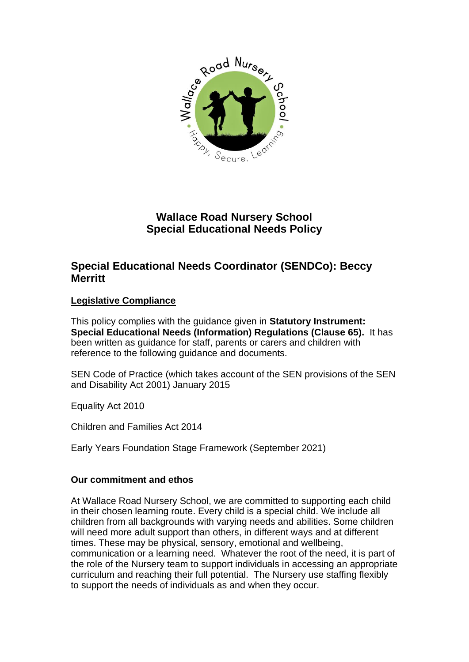

# **Wallace Road Nursery School Special Educational Needs Policy**

# **Special Educational Needs Coordinator (SENDCo): Beccy Merritt**

## **Legislative Compliance**

This policy complies with the guidance given in **Statutory Instrument: Special Educational Needs (Information) Regulations (Clause 65).** It has been written as guidance for staff, parents or carers and children with reference to the following guidance and documents.

SEN Code of Practice (which takes account of the SEN provisions of the SEN and Disability Act 2001) January 2015

Equality Act 2010

Children and Families Act 2014

Early Years Foundation Stage Framework (September 2021)

#### **Our commitment and ethos**

At Wallace Road Nursery School, we are committed to supporting each child in their chosen learning route. Every child is a special child. We include all children from all backgrounds with varying needs and abilities. Some children will need more adult support than others, in different ways and at different times. These may be physical, sensory, emotional and wellbeing, communication or a learning need. Whatever the root of the need, it is part of the role of the Nursery team to support individuals in accessing an appropriate curriculum and reaching their full potential. The Nursery use staffing flexibly to support the needs of individuals as and when they occur.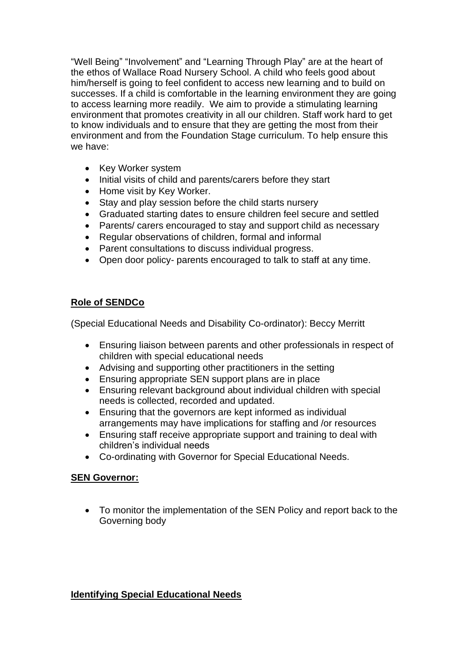"Well Being" "Involvement" and "Learning Through Play" are at the heart of the ethos of Wallace Road Nursery School. A child who feels good about him/herself is going to feel confident to access new learning and to build on successes. If a child is comfortable in the learning environment they are going to access learning more readily. We aim to provide a stimulating learning environment that promotes creativity in all our children. Staff work hard to get to know individuals and to ensure that they are getting the most from their environment and from the Foundation Stage curriculum. To help ensure this we have:

- Key Worker system
- Initial visits of child and parents/carers before they start
- Home visit by Key Worker.
- Stay and play session before the child starts nursery
- Graduated starting dates to ensure children feel secure and settled
- Parents/ carers encouraged to stay and support child as necessary
- Regular observations of children, formal and informal
- Parent consultations to discuss individual progress.
- Open door policy- parents encouraged to talk to staff at any time.

### **Role of SENDCo**

(Special Educational Needs and Disability Co-ordinator): Beccy Merritt

- Ensuring liaison between parents and other professionals in respect of children with special educational needs
- Advising and supporting other practitioners in the setting
- Ensuring appropriate SEN support plans are in place
- Ensuring relevant background about individual children with special needs is collected, recorded and updated.
- Ensuring that the governors are kept informed as individual arrangements may have implications for staffing and /or resources
- Ensuring staff receive appropriate support and training to deal with children's individual needs
- Co-ordinating with Governor for Special Educational Needs.

#### **SEN Governor:**

• To monitor the implementation of the SEN Policy and report back to the Governing body

#### **Identifying Special Educational Needs**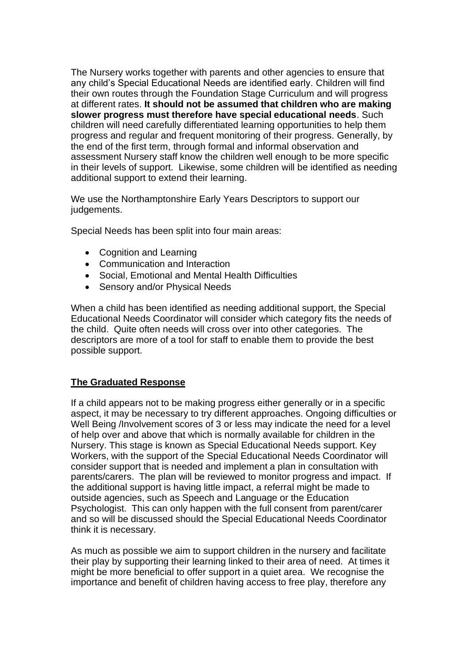The Nursery works together with parents and other agencies to ensure that any child's Special Educational Needs are identified early. Children will find their own routes through the Foundation Stage Curriculum and will progress at different rates. **It should not be assumed that children who are making slower progress must therefore have special educational needs**. Such children will need carefully differentiated learning opportunities to help them progress and regular and frequent monitoring of their progress. Generally, by the end of the first term, through formal and informal observation and assessment Nursery staff know the children well enough to be more specific in their levels of support. Likewise, some children will be identified as needing additional support to extend their learning.

We use the Northamptonshire Early Years Descriptors to support our judgements.

Special Needs has been split into four main areas:

- Cognition and Learning
- Communication and Interaction
- Social, Emotional and Mental Health Difficulties
- Sensory and/or Physical Needs

When a child has been identified as needing additional support, the Special Educational Needs Coordinator will consider which category fits the needs of the child. Quite often needs will cross over into other categories. The descriptors are more of a tool for staff to enable them to provide the best possible support.

#### **The Graduated Response**

If a child appears not to be making progress either generally or in a specific aspect, it may be necessary to try different approaches. Ongoing difficulties or Well Being /Involvement scores of 3 or less may indicate the need for a level of help over and above that which is normally available for children in the Nursery. This stage is known as Special Educational Needs support. Key Workers, with the support of the Special Educational Needs Coordinator will consider support that is needed and implement a plan in consultation with parents/carers. The plan will be reviewed to monitor progress and impact. If the additional support is having little impact, a referral might be made to outside agencies, such as Speech and Language or the Education Psychologist. This can only happen with the full consent from parent/carer and so will be discussed should the Special Educational Needs Coordinator think it is necessary.

As much as possible we aim to support children in the nursery and facilitate their play by supporting their learning linked to their area of need. At times it might be more beneficial to offer support in a quiet area. We recognise the importance and benefit of children having access to free play, therefore any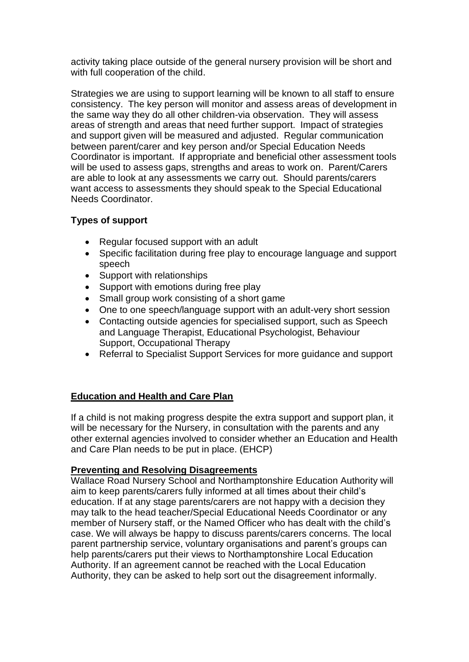activity taking place outside of the general nursery provision will be short and with full cooperation of the child.

Strategies we are using to support learning will be known to all staff to ensure consistency. The key person will monitor and assess areas of development in the same way they do all other children-via observation. They will assess areas of strength and areas that need further support. Impact of strategies and support given will be measured and adjusted. Regular communication between parent/carer and key person and/or Special Education Needs Coordinator is important. If appropriate and beneficial other assessment tools will be used to assess gaps, strengths and areas to work on. Parent/Carers are able to look at any assessments we carry out. Should parents/carers want access to assessments they should speak to the Special Educational Needs Coordinator.

### **Types of support**

- Regular focused support with an adult
- Specific facilitation during free play to encourage language and support speech
- Support with relationships
- Support with emotions during free play
- Small group work consisting of a short game
- One to one speech/language support with an adult-very short session
- Contacting outside agencies for specialised support, such as Speech and Language Therapist, Educational Psychologist, Behaviour Support, Occupational Therapy
- Referral to Specialist Support Services for more guidance and support

## **Education and Health and Care Plan**

If a child is not making progress despite the extra support and support plan, it will be necessary for the Nursery, in consultation with the parents and any other external agencies involved to consider whether an Education and Health and Care Plan needs to be put in place. (EHCP)

#### **Preventing and Resolving Disagreements**

Wallace Road Nursery School and Northamptonshire Education Authority will aim to keep parents/carers fully informed at all times about their child's education. If at any stage parents/carers are not happy with a decision they may talk to the head teacher/Special Educational Needs Coordinator or any member of Nursery staff, or the Named Officer who has dealt with the child's case. We will always be happy to discuss parents/carers concerns. The local parent partnership service, voluntary organisations and parent's groups can help parents/carers put their views to Northamptonshire Local Education Authority. If an agreement cannot be reached with the Local Education Authority, they can be asked to help sort out the disagreement informally.